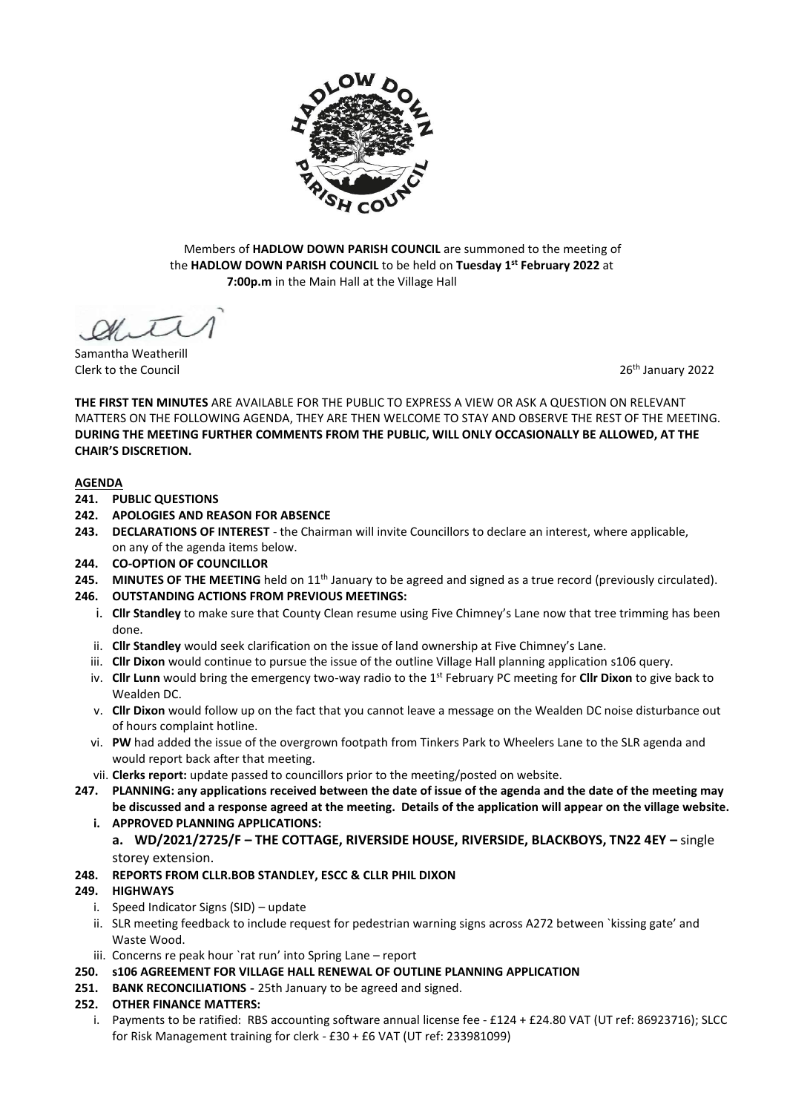

Members of **HADLOW DOWN PARISH COUNCIL** are summoned to the meeting of the **HADLOW DOWN PARISH COUNCIL** to be held on **Tuesday 1 st February 2022** at  **7:00p.m** in the Main Hall at the Village Hall

Samantha Weatherill Clerk to the Council 2002 Clerk to the Council 2002 Clerk to the Council 2002 Clerk to the Council 2002 Clerk to the Council 2002 Clerk to the Council 2002 Clerk to the Council 2003 Clerk to the Council 2003 Clerk to the C

**THE FIRST TEN MINUTES** ARE AVAILABLE FOR THE PUBLIC TO EXPRESS A VIEW OR ASK A QUESTION ON RELEVANT MATTERS ON THE FOLLOWING AGENDA, THEY ARE THEN WELCOME TO STAY AND OBSERVE THE REST OF THE MEETING. **DURING THE MEETING FURTHER COMMENTS FROM THE PUBLIC, WILL ONLY OCCASIONALLY BE ALLOWED, AT THE CHAIR'S DISCRETION.**

## **AGENDA**

- **241. PUBLIC QUESTIONS**
- **242. APOLOGIES AND REASON FOR ABSENCE**
- **243. DECLARATIONS OF INTEREST** the Chairman will invite Councillors to declare an interest, where applicable, on any of the agenda items below.
- **244. CO-OPTION OF COUNCILLOR**
- **245.** MINUTES OF THE MEETING held on 11<sup>th</sup> January to be agreed and signed as a true record (previously circulated).
- **246. OUTSTANDING ACTIONS FROM PREVIOUS MEETINGS:**
	- i. **Cllr Standley** to make sure that County Clean resume using Five Chimney's Lane now that tree trimming has been done.
	- ii. **Cllr Standley** would seek clarification on the issue of land ownership at Five Chimney's Lane.
	- iii. **Cllr Dixon** would continue to pursue the issue of the outline Village Hall planning application s106 query.
	- iv. **Cllr Lunn** would bring the emergency two-way radio to the 1st February PC meeting for **Cllr Dixon** to give back to Wealden DC.
	- v. **Cllr Dixon** would follow up on the fact that you cannot leave a message on the Wealden DC noise disturbance out of hours complaint hotline.
	- vi. **PW** had added the issue of the overgrown footpath from Tinkers Park to Wheelers Lane to the SLR agenda and would report back after that meeting.
	- vii. **Clerks report:** update passed to councillors prior to the meeting/posted on website.
- **247. PLANNING: any applications received between the date of issue of the agenda and the date of the meeting may be discussed and a response agreed at the meeting. Details of the application will appear on the village website.** 
	- **i. APPROVED PLANNING APPLICATIONS:**
		- **a. WD/2021/2725/F – THE COTTAGE, RIVERSIDE HOUSE, RIVERSIDE, BLACKBOYS, TN22 4EY –** single storey extension.
- **248. REPORTS FROM CLLR.BOB STANDLEY, ESCC & CLLR PHIL DIXON**

# **249. HIGHWAYS**

- i. Speed Indicator Signs (SID) update
- ii. SLR meeting feedback to include request for pedestrian warning signs across A272 between `kissing gate' and Waste Wood.
- iii. Concerns re peak hour `rat run' into Spring Lane report
- **250. s106 AGREEMENT FOR VILLAGE HALL RENEWAL OF OUTLINE PLANNING APPLICATION**
- **251. BANK RECONCILIATIONS -** 25th January to be agreed and signed.
- **252. OTHER FINANCE MATTERS:**
	- i. Payments to be ratified: RBS accounting software annual license fee £124 + £24.80 VAT (UT ref: 86923716); SLCC for Risk Management training for clerk - £30 + £6 VAT (UT ref: 233981099)